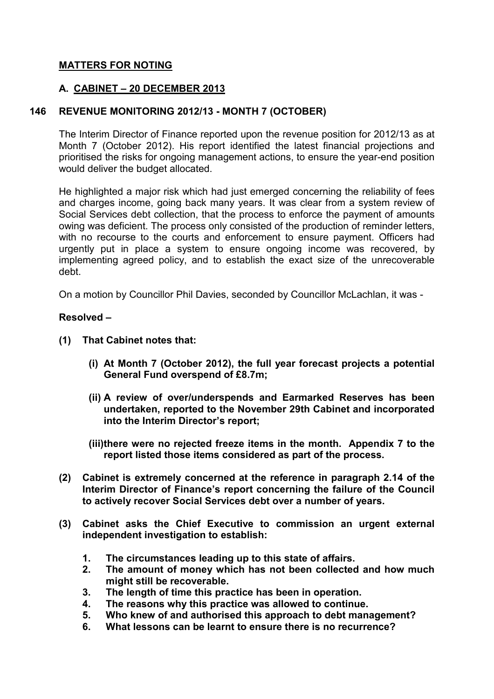## **MATTERS FOR NOTING**

### **A. CABINET – 20 DECEMBER 2013**

### **146 REVENUE MONITORING 2012/13 - MONTH 7 (OCTOBER)**

The Interim Director of Finance reported upon the revenue position for 2012/13 as at Month 7 (October 2012). His report identified the latest financial projections and prioritised the risks for ongoing management actions, to ensure the year-end position would deliver the budget allocated.

He highlighted a major risk which had just emerged concerning the reliability of fees and charges income, going back many years. It was clear from a system review of Social Services debt collection, that the process to enforce the payment of amounts owing was deficient. The process only consisted of the production of reminder letters, with no recourse to the courts and enforcement to ensure payment. Officers had urgently put in place a system to ensure ongoing income was recovered, by implementing agreed policy, and to establish the exact size of the unrecoverable debt.

On a motion by Councillor Phil Davies, seconded by Councillor McLachlan, it was -

#### **Resolved –**

- **(1) That Cabinet notes that:** 
	- **(i) At Month 7 (October 2012), the full year forecast projects a potential General Fund overspend of £8.7m;**
	- **(ii) A review of over/underspends and Earmarked Reserves has been undertaken, reported to the November 29th Cabinet and incorporated into the Interim Director's report;**
	- **(iii)there were no rejected freeze items in the month. Appendix 7 to the report listed those items considered as part of the process.**
- **(2) Cabinet is extremely concerned at the reference in paragraph 2.14 of the Interim Director of Finance's report concerning the failure of the Council to actively recover Social Services debt over a number of years.**
- **(3) Cabinet asks the Chief Executive to commission an urgent external independent investigation to establish:** 
	- **1. The circumstances leading up to this state of affairs.**
	- **2. The amount of money which has not been collected and how much might still be recoverable.**
	- **3. The length of time this practice has been in operation.**
	- **4. The reasons why this practice was allowed to continue.**
	- **5. Who knew of and authorised this approach to debt management?**
	- **6. What lessons can be learnt to ensure there is no recurrence?**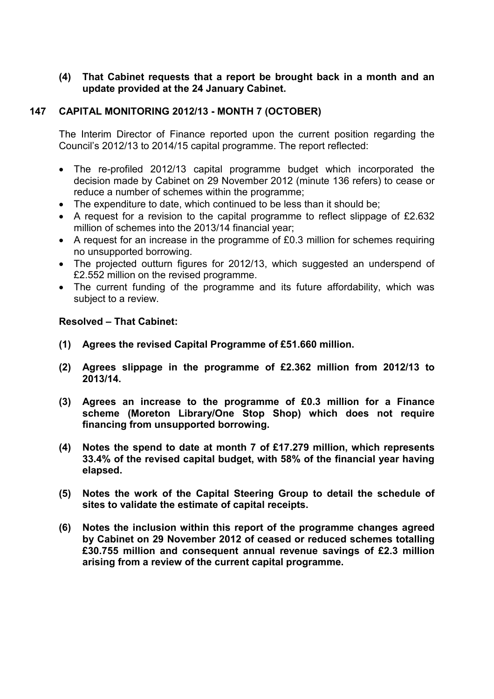## **(4) That Cabinet requests that a report be brought back in a month and an update provided at the 24 January Cabinet.**

## **147 CAPITAL MONITORING 2012/13 - MONTH 7 (OCTOBER)**

The Interim Director of Finance reported upon the current position regarding the Council's 2012/13 to 2014/15 capital programme. The report reflected:

- The re-profiled 2012/13 capital programme budget which incorporated the decision made by Cabinet on 29 November 2012 (minute 136 refers) to cease or reduce a number of schemes within the programme;
- The expenditure to date, which continued to be less than it should be;
- A request for a revision to the capital programme to reflect slippage of £2.632 million of schemes into the 2013/14 financial year;
- A request for an increase in the programme of £0.3 million for schemes requiring no unsupported borrowing.
- The projected outturn figures for 2012/13, which suggested an underspend of £2.552 million on the revised programme.
- The current funding of the programme and its future affordability, which was subject to a review.

### **Resolved – That Cabinet:**

- **(1) Agrees the revised Capital Programme of £51.660 million.**
- **(2) Agrees slippage in the programme of £2.362 million from 2012/13 to 2013/14.**
- **(3) Agrees an increase to the programme of £0.3 million for a Finance scheme (Moreton Library/One Stop Shop) which does not require financing from unsupported borrowing.**
- **(4) Notes the spend to date at month 7 of £17.279 million, which represents 33.4% of the revised capital budget, with 58% of the financial year having elapsed.**
- **(5) Notes the work of the Capital Steering Group to detail the schedule of sites to validate the estimate of capital receipts.**
- **(6) Notes the inclusion within this report of the programme changes agreed by Cabinet on 29 November 2012 of ceased or reduced schemes totalling £30.755 million and consequent annual revenue savings of £2.3 million arising from a review of the current capital programme.**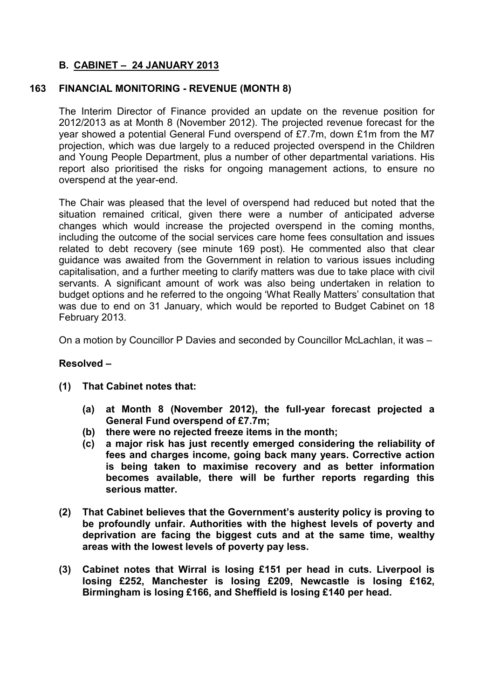# **B. CABINET – 24 JANUARY 2013**

# **163 FINANCIAL MONITORING - REVENUE (MONTH 8)**

The Interim Director of Finance provided an update on the revenue position for 2012/2013 as at Month 8 (November 2012). The projected revenue forecast for the year showed a potential General Fund overspend of £7.7m, down £1m from the M7 projection, which was due largely to a reduced projected overspend in the Children and Young People Department, plus a number of other departmental variations. His report also prioritised the risks for ongoing management actions, to ensure no overspend at the year-end.

The Chair was pleased that the level of overspend had reduced but noted that the situation remained critical, given there were a number of anticipated adverse changes which would increase the projected overspend in the coming months, including the outcome of the social services care home fees consultation and issues related to debt recovery (see minute 169 post). He commented also that clear guidance was awaited from the Government in relation to various issues including capitalisation, and a further meeting to clarify matters was due to take place with civil servants. A significant amount of work was also being undertaken in relation to budget options and he referred to the ongoing 'What Really Matters' consultation that was due to end on 31 January, which would be reported to Budget Cabinet on 18 February 2013.

On a motion by Councillor P Davies and seconded by Councillor McLachlan, it was –

### **Resolved –**

- **(1) That Cabinet notes that:** 
	- **(a) at Month 8 (November 2012), the full-year forecast projected a General Fund overspend of £7.7m;**
	- **(b) there were no rejected freeze items in the month;**
	- **(c) a major risk has just recently emerged considering the reliability of fees and charges income, going back many years. Corrective action is being taken to maximise recovery and as better information becomes available, there will be further reports regarding this serious matter.**
- **(2) That Cabinet believes that the Government's austerity policy is proving to be profoundly unfair. Authorities with the highest levels of poverty and deprivation are facing the biggest cuts and at the same time, wealthy areas with the lowest levels of poverty pay less.**
- **(3) Cabinet notes that Wirral is losing £151 per head in cuts. Liverpool is losing £252, Manchester is losing £209, Newcastle is losing £162, Birmingham is losing £166, and Sheffield is losing £140 per head.**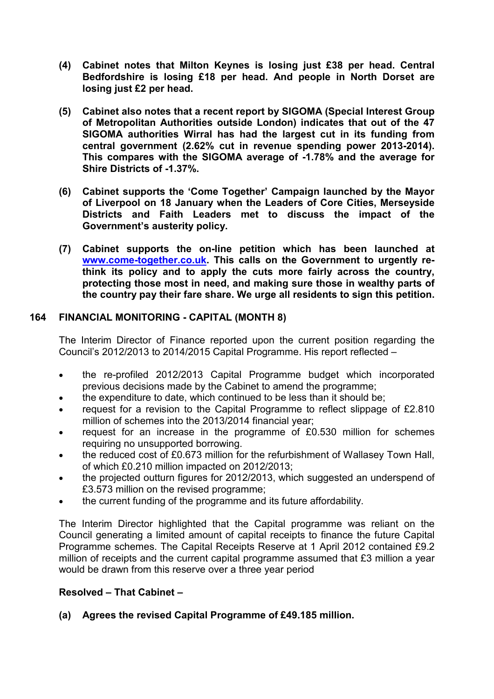- **(4) Cabinet notes that Milton Keynes is losing just £38 per head. Central Bedfordshire is losing £18 per head. And people in North Dorset are losing just £2 per head.**
- **(5) Cabinet also notes that a recent report by SIGOMA (Special Interest Group of Metropolitan Authorities outside London) indicates that out of the 47 SIGOMA authorities Wirral has had the largest cut in its funding from central government (2.62% cut in revenue spending power 2013-2014). This compares with the SIGOMA average of -1.78% and the average for Shire Districts of -1.37%.**
- **(6) Cabinet supports the 'Come Together' Campaign launched by the Mayor of Liverpool on 18 January when the Leaders of Core Cities, Merseyside Districts and Faith Leaders met to discuss the impact of the Government's austerity policy.**
- **(7) Cabinet supports the on-line petition which has been launched at www.come-together.co.uk. This calls on the Government to urgently rethink its policy and to apply the cuts more fairly across the country, protecting those most in need, and making sure those in wealthy parts of the country pay their fare share. We urge all residents to sign this petition.**

# **164 FINANCIAL MONITORING - CAPITAL (MONTH 8)**

The Interim Director of Finance reported upon the current position regarding the Council's 2012/2013 to 2014/2015 Capital Programme. His report reflected –

- the re-profiled 2012/2013 Capital Programme budget which incorporated previous decisions made by the Cabinet to amend the programme;
- the expenditure to date, which continued to be less than it should be;
- request for a revision to the Capital Programme to reflect slippage of £2.810 million of schemes into the 2013/2014 financial year;
- request for an increase in the programme of £0.530 million for schemes requiring no unsupported borrowing.
- the reduced cost of £0.673 million for the refurbishment of Wallasey Town Hall, of which £0.210 million impacted on 2012/2013;
- the projected outturn figures for 2012/2013, which suggested an underspend of £3.573 million on the revised programme;
- the current funding of the programme and its future affordability.

The Interim Director highlighted that the Capital programme was reliant on the Council generating a limited amount of capital receipts to finance the future Capital Programme schemes. The Capital Receipts Reserve at 1 April 2012 contained £9.2 million of receipts and the current capital programme assumed that £3 million a year would be drawn from this reserve over a three year period

### **Resolved – That Cabinet –**

# **(a) Agrees the revised Capital Programme of £49.185 million.**